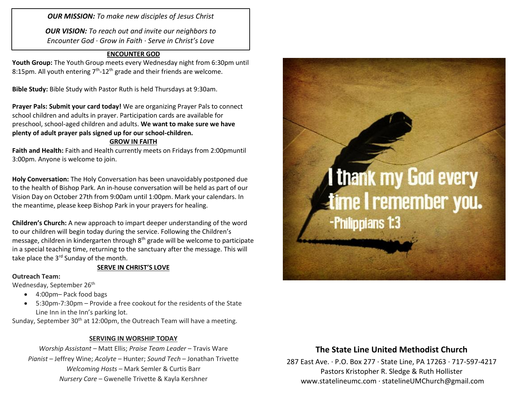*OUR MISSION: To make new disciples of Jesus Christ*

*OUR VISION: To reach out and invite our neighbors to Encounter God · Grow in Faith · Serve in Christ's Love*

### **ENCOUNTER GOD**

**Youth Group:** The Youth Group meets every Wednesday night from 6:30pm until 8:15pm. All youth entering  $7<sup>th</sup>$ -12<sup>th</sup> grade and their friends are welcome.

**Bible Study:** Bible Study with Pastor Ruth is held Thursdays at 9:30am.

**Prayer Pals: Submit your card today!** We are organizing Prayer Pals to connect school children and adults in prayer. Participation cards are available for preschool, school-aged children and adults. **We want to make sure we have plenty of adult prayer pals signed up for our school-children.**

#### **GROW IN FAITH**

**Faith and Health:** Faith and Health currently meets on Fridays from 2:00pmuntil 3:00pm. Anyone is welcome to join.

**Holy Conversation:** The Holy Conversation has been unavoidably postponed due to the health of Bishop Park. An in-house conversation will be held as part of our Vision Day on October 27th from 9:00am until 1:00pm. Mark your calendars. In the meantime, please keep Bishop Park in your prayers for healing.

**Children's Church:** A new approach to impart deeper understanding of the word to our children will begin today during the service. Following the Children's message, children in kindergarten through 8<sup>th</sup> grade will be welcome to participate in a special teaching time, returning to the sanctuary after the message. This will take place the 3<sup>rd</sup> Sunday of the month.

#### **SERVE IN CHRIST'S LOVE**

#### **Outreach Team:**

Wednesday, September 26<sup>th</sup>

- 4:00pm Pack food bags
- 5:30pm-7:30pm Provide a free cookout for the residents of the State Line Inn in the Inn's parking lot.

Sunday, September 30<sup>th</sup> at 12:00pm, the Outreach Team will have a meeting.

#### **SERVING IN WORSHIP TODAY**

*Worship Assistant –* Matt Ellis; *Praise Team Leader* – Travis Ware *Pianist* – Jeffrey Wine; *Acolyte* – Hunter; *Sound Tech* – Jonathan Trivette *Welcoming Hosts* – Mark Semler & Curtis Barr *Nursery Care* – Gwenelle Trivette & Kayla Kershner



## **The State Line United Methodist Church**

287 East Ave. · P.O. Box 277 · State Line, PA 17263 · 717-597-4217 Pastors Kristopher R. Sledge & Ruth Hollister [www.statelineumc.com](http://www.statelineumc.com/) · statelineUMChurch@gmail.com